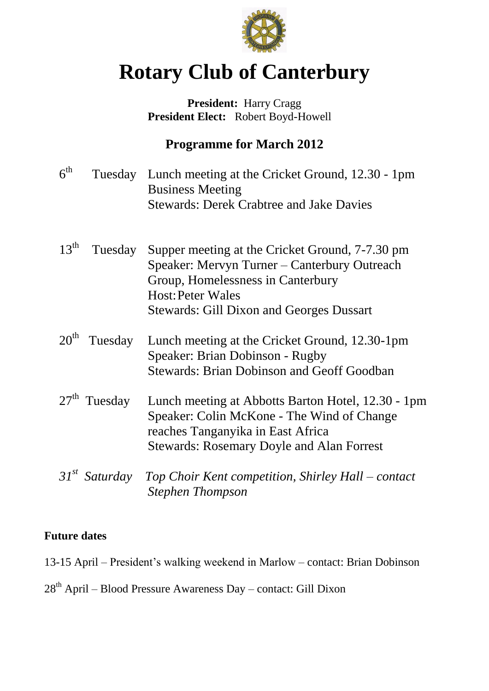

# **Rotary Club of Canterbury**

### **President:** Harry Cragg  **President Elect:** Robert Boyd-Howell

# **Programme for March 2012**

| 6 <sup>th</sup>  |                 | Tuesday Lunch meeting at the Cricket Ground, 12.30 - 1pm<br><b>Business Meeting</b><br><b>Stewards: Derek Crabtree and Jake Davies</b>                                                                              |
|------------------|-----------------|---------------------------------------------------------------------------------------------------------------------------------------------------------------------------------------------------------------------|
| $13^{th}$        | Tuesday         | Supper meeting at the Cricket Ground, 7-7.30 pm<br>Speaker: Mervyn Turner – Canterbury Outreach<br>Group, Homelessness in Canterbury<br><b>Host: Peter Wales</b><br><b>Stewards: Gill Dixon and Georges Dussart</b> |
| $20^{\text{th}}$ | Tuesday         | Lunch meeting at the Cricket Ground, 12.30-1pm<br>Speaker: Brian Dobinson - Rugby<br><b>Stewards: Brian Dobinson and Geoff Goodban</b>                                                                              |
|                  | $27th$ Tuesday  | Lunch meeting at Abbotts Barton Hotel, 12.30 - 1pm<br>Speaker: Colin McKone - The Wind of Change<br>reaches Tanganyika in East Africa<br><b>Stewards: Rosemary Doyle and Alan Forrest</b>                           |
|                  | $31st$ Saturday | Top Choir Kent competition, Shirley Hall – contact<br><b>Stephen Thompson</b>                                                                                                                                       |

#### **Future dates**

13-15 April – President's walking weekend in Marlow – contact: Brian Dobinson

# 28th April – Blood Pressure Awareness Day – contact: Gill Dixon